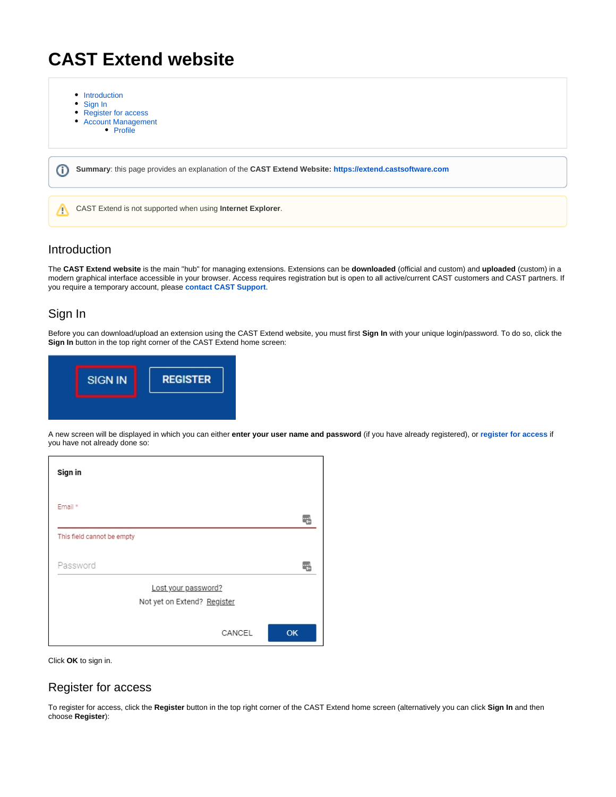## **CAST Extend website**

- [Introduction](#page-0-0)
- $\bullet$ [Sign In](#page-0-1)
- [Register for access](#page-0-2)
- [Account Management](#page-1-0)
	- [Profile](#page-1-1)

⊕ **Summary**: this page provides an explanation of the **CAST Extend Website: <https://extend.castsoftware.com>**

CAST Extend is not supported when using **Internet Explorer**.

## <span id="page-0-0"></span>Introduction

Λ

The **CAST Extend website** is the main "hub" for managing extensions. Extensions can be **downloaded** (official and custom) and **uploaded** (custom) in a modern graphical interface accessible in your browser. Access requires registration but is open to all active/current CAST customers and CAST partners. If you require a temporary account, please **[contact CAST Support](https://help.castsoftware.com/hc/en-us/requests/new)**.

## <span id="page-0-1"></span>Sign In

Before you can download/upload an extension using the CAST Extend website, you must first **Sign In** with your unique login/password. To do so, click the **Sign In** button in the top right corner of the CAST Extend home screen:



A new screen will be displayed in which you can either **enter your user name and password** (if you have already registered), or **[register for access](https://doc.castsoftware.com/pages/viewpage.action?pageId=234428146#CASTExtendwebsite-register)** if you have not already done so:

| Sign in                                            |           |
|----------------------------------------------------|-----------|
| Email *                                            |           |
| This field cannot be empty                         |           |
| Password                                           |           |
| Lost your password?<br>Not yet on Extend? Register |           |
| CANCEL                                             | <b>OK</b> |

Click **OK** to sign in.

#### <span id="page-0-2"></span>Register for access

To register for access, click the **Register** button in the top right corner of the CAST Extend home screen (alternatively you can click **Sign In** and then choose **Register**):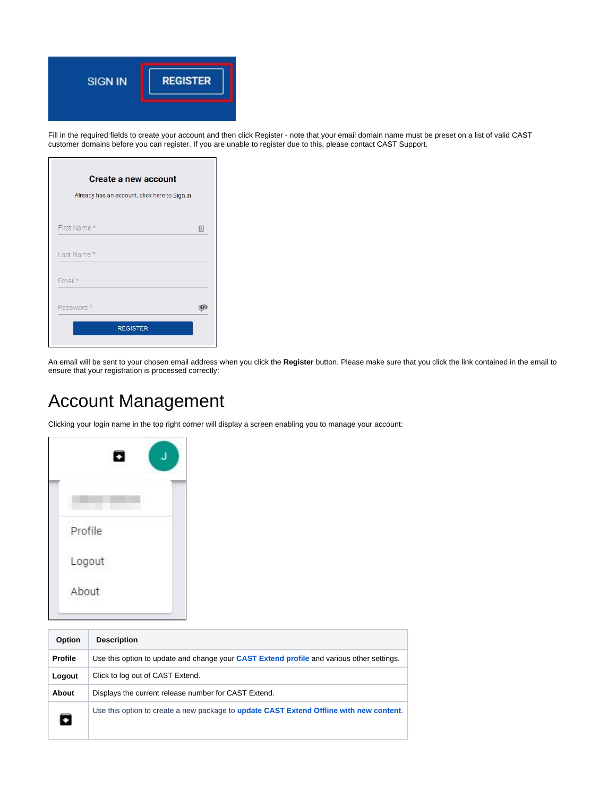

Fill in the required fields to create your account and then click Register - note that your email domain name must be preset on a list of valid CAST customer domains before you can register. If you are unable to register due to this, please contact CAST Support.

| <b>Create a new account</b><br>Already has an account, click here to Sign in |   |
|------------------------------------------------------------------------------|---|
| First Name*                                                                  | 固 |
| Last Name*                                                                   |   |
| Email*                                                                       |   |
| Password *                                                                   |   |
| <b>REGISTER</b>                                                              |   |

An email will be sent to your chosen email address when you click the **Register** button. Please make sure that you click the link contained in the email to ensure that your registration is processed correctly:

# <span id="page-1-0"></span>Account Management

Clicking your login name in the top right corner will display a screen enabling you to manage your account:

|         | О |  |
|---------|---|--|
|         |   |  |
| Profile |   |  |
| Logout  |   |  |
| About   |   |  |

<span id="page-1-1"></span>

| <b>Option</b>  | <b>Description</b>                                                                               |  |  |  |
|----------------|--------------------------------------------------------------------------------------------------|--|--|--|
| <b>Profile</b> | Use this option to update and change your <b>CAST Extend profile</b> and various other settings. |  |  |  |
| Logout         | Click to log out of CAST Extend.                                                                 |  |  |  |
| About          | Displays the current release number for CAST Extend.                                             |  |  |  |
| О              | Use this option to create a new package to update CAST Extend Offline with new content.          |  |  |  |